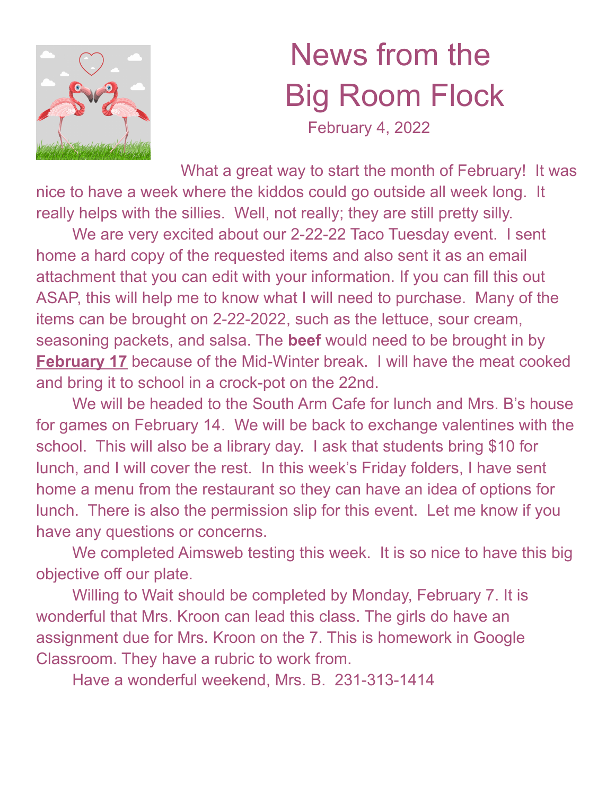

## News from the Big Room Flock

February 4, 2022

What a great way to start the month of February! It was nice to have a week where the kiddos could go outside all week long. It really helps with the sillies. Well, not really; they are still pretty silly.

We are very excited about our 2-22-22 Taco Tuesday event. I sent home a hard copy of the requested items and also sent it as an email attachment that you can edit with your information. If you can fill this out ASAP, this will help me to know what I will need to purchase. Many of the items can be brought on 2-22-2022, such as the lettuce, sour cream, seasoning packets, and salsa. The **beef** would need to be brought in by **February 17** because of the Mid-Winter break. I will have the meat cooked and bring it to school in a crock-pot on the 22nd.

We will be headed to the South Arm Cafe for lunch and Mrs. B's house for games on February 14. We will be back to exchange valentines with the school. This will also be a library day. I ask that students bring \$10 for lunch, and I will cover the rest. In this week's Friday folders, I have sent home a menu from the restaurant so they can have an idea of options for lunch. There is also the permission slip for this event. Let me know if you have any questions or concerns.

We completed Aimsweb testing this week. It is so nice to have this big objective off our plate.

Willing to Wait should be completed by Monday, February 7. It is wonderful that Mrs. Kroon can lead this class. The girls do have an assignment due for Mrs. Kroon on the 7. This is homework in Google Classroom. They have a rubric to work from.

Have a wonderful weekend, Mrs. B. 231-313-1414